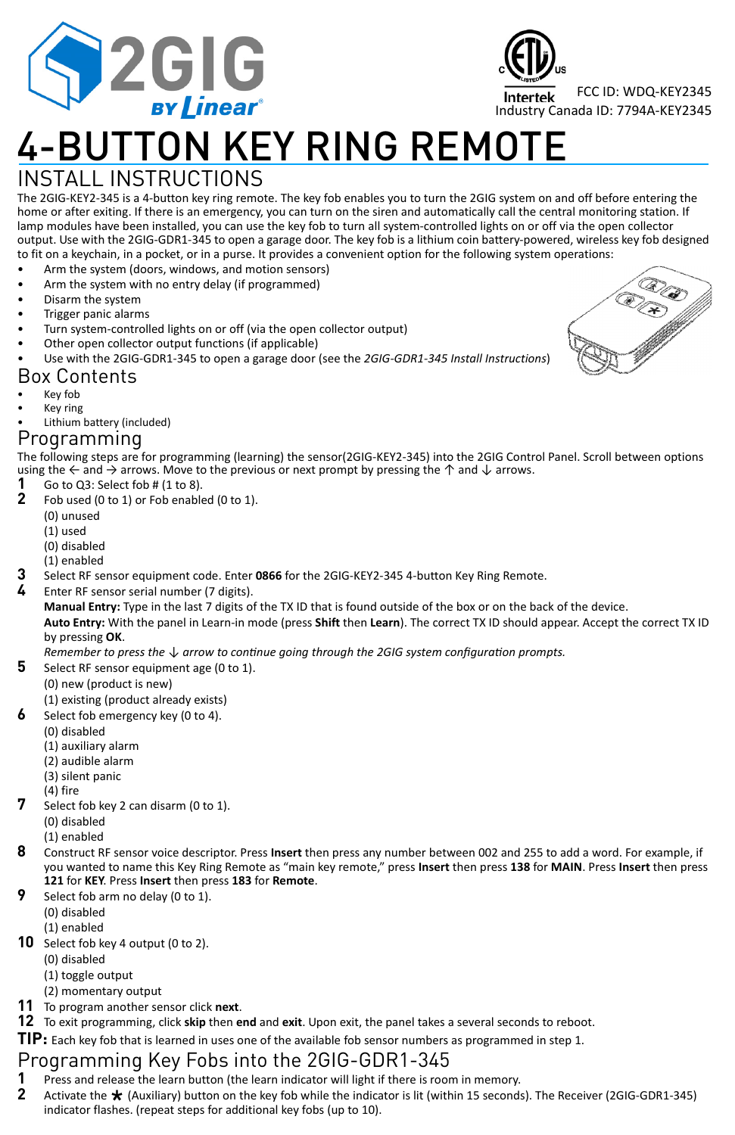

# 4-BUTTON KEY RING REMOTE

## INSTALL INSTRUCTIONS

The 2GIG‐KEY2‐345 is a 4‐button key ring remote. The key fob enables you to turn the 2GIG system on and off before entering the home or after exiting. If there is an emergency, you can turn on the siren and automatically call the central monitoring station. If lamp modules have been installed, you can use the key fob to turn all system-controlled lights on or off via the open collector output. Use with the 2GIG‐GDR1‐345 to open a garage door. The key fob is a lithium coin battery‐powered, wireless key fob designed to fit on a keychain, in a pocket, or in a purse. It provides a convenient option for the following system operations:

- Arm the system (doors, windows, and motion sensors)
- Arm the system with no entry delay (if programmed)
- Disarm the system
- Trigger panic alarms
- Turn system‐controlled lights on or off (via the open collector output)
- Other open collector output functions (if applicable)
- Use with the 2GIG‐GDR1‐345 to open a garage door (see the *2GIG‐GDR1‐345 Install Instructions*)

### Box Contents

- Key fob
- Key ring
- Lithium battery (included)

### Programming

The following steps are for programming (learning) the sensor(2GIG‐KEY2‐345) into the 2GIG Control Panel. Scroll between options using the  $\leftarrow$  and  $\rightarrow$  arrows. Move to the previous or next prompt by pressing the  $\uparrow$  and  $\downarrow$  arrows.<br>1 Go to 03: Select fob # (1 to 8)

- **1** Go to Q3: Select fob  $# (1 to 8)$ .<br>**2** Fob used (0 to 1) or Eob enable
- **2** Fob used (0 to 1) or Fob enabled (0 to 1).
	- (0) unused
	- (1) used
	- (0) disabled
	- (1) enabled
- **3** Select RF sensor equipment code. Enter **0866** for the 2GIG‐KEY2‐345 4‐button Key Ring Remote.
- **4** Enter RF sensor serial number (7 digits).
	- **Manual Entry:** Type in the last 7 digits of the TX ID that is found outside of the box or on the back of the device.

**Auto Entry:** With the panel in Learn‐in mode (press **Shift** then **Learn**). The correct TX ID should appear. Accept the correct TX ID by pressing **OK**.

Remember to press the  $\downarrow$  arrow to continue going through the 2GIG system configuration prompts.

- **5** Select RF sensor equipment age (0 to 1).
	- (0) new (product is new)
	- (1) existing (product already exists)
- Select fob emergency key (0 to 4).
	- (0) disabled
	- (1) auxiliary alarm
	- (2) audible alarm
	- (3) silent panic
	- (4) fire
- **7** Select fob key 2 can disarm (0 to 1).
	- (0) disabled
	- (1) enabled
- **8** Construct RF sensor voice descriptor. Press **Insert** then press any number between 002 and 255 to add a word. For example, if you wanted to name this Key Ring Remote as "main key remote," press **Insert** then press **138** for **MAIN**. Press **Insert** then press **121** for **KEY**. Press **Insert** then press **183** for **Remote**.
- Select fob arm no delay (0 to 1).
	- (0) disabled
	- (1) enabled
- **10** Select fob key 4 output (0 to 2).
	- (0) disabled
		- (1) toggle output
	- (2) momentary output
- **11** To program another sensor click **next**.
- **12** To exit programming, click **skip** then **end** and **exit**. Upon exit, the panel takes a several seconds to reboot.
- **TIP:** Each key fob that is learned in uses one of the available fob sensor numbers as programmed in step 1.

## Programming Key Fobs into the 2GIG-GDR1-345

- **1** Press and release the learn button (the learn indicator will light if there is room in memory.<br>**2** Activate the **\*** (Auxiliary) button on the key fob while the indicator is lit (within 15 second:
- **2** Activate the (Auxiliary) button on the key fob while the indicator is lit (within 15 seconds). The Receiver (2GIG‐GDR1‐345) indicator flashes. (repeat steps for additional key fobs (up to 10).



FCC ID: WDQ‐KEY2345

Industry Canada ID: 7794A‐KEY2345

Intertek